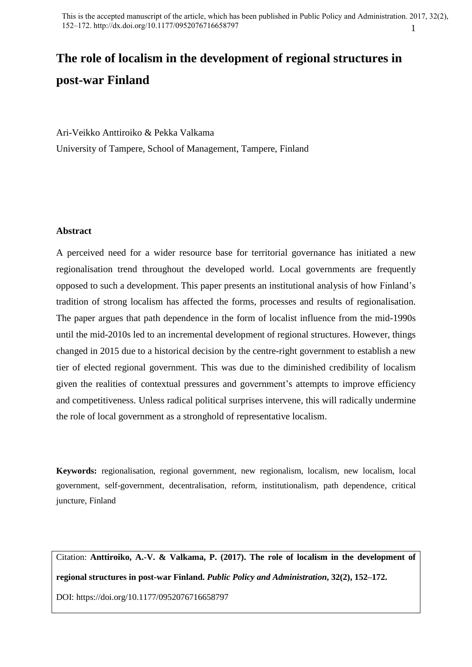# **The role of localism in the development of regional structures in post-war Finland**

Ari-Veikko Anttiroiko & Pekka Valkama University of Tampere, School of Management, Tampere, Finland

# **Abstract**

A perceived need for a wider resource base for territorial governance has initiated a new regionalisation trend throughout the developed world. Local governments are frequently opposed to such a development. This paper presents an institutional analysis of how Finland's tradition of strong localism has affected the forms, processes and results of regionalisation. The paper argues that path dependence in the form of localist influence from the mid-1990s until the mid-2010s led to an incremental development of regional structures. However, things changed in 2015 due to a historical decision by the centre-right government to establish a new tier of elected regional government. This was due to the diminished credibility of localism given the realities of contextual pressures and government's attempts to improve efficiency and competitiveness. Unless radical political surprises intervene, this will radically undermine the role of local government as a stronghold of representative localism.

**Keywords:** regionalisation, regional government, new regionalism, localism, new localism, local government, self-government, decentralisation, reform, institutionalism, path dependence, critical juncture, Finland

Citation: **Anttiroiko, A.-V. & Valkama, P. (2017). The role of localism in the development of regional structures in post-war Finland.** *Public Policy and Administration***, 32(2), 152–172.** DOI:<https://doi.org/10.1177/0952076716658797>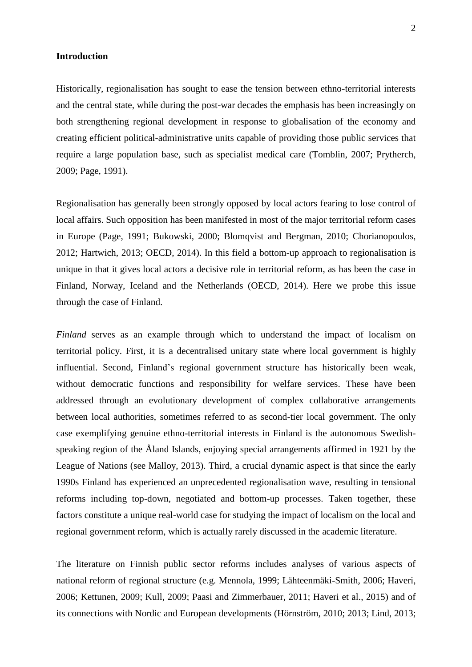# **Introduction**

Historically, regionalisation has sought to ease the tension between ethno-territorial interests and the central state, while during the post-war decades the emphasis has been increasingly on both strengthening regional development in response to globalisation of the economy and creating efficient political-administrative units capable of providing those public services that require a large population base, such as specialist medical care (Tomblin, 2007; Prytherch, 2009; Page, 1991).

Regionalisation has generally been strongly opposed by local actors fearing to lose control of local affairs. Such opposition has been manifested in most of the major territorial reform cases in Europe (Page, 1991; Bukowski, 2000; Blomqvist and Bergman, 2010; Chorianopoulos, 2012; Hartwich, 2013; OECD, 2014). In this field a bottom-up approach to regionalisation is unique in that it gives local actors a decisive role in territorial reform, as has been the case in Finland, Norway, Iceland and the Netherlands (OECD, 2014). Here we probe this issue through the case of Finland.

*Finland* serves as an example through which to understand the impact of localism on territorial policy. First, it is a decentralised unitary state where local government is highly influential. Second, Finland's regional government structure has historically been weak, without democratic functions and responsibility for welfare services. These have been addressed through an evolutionary development of complex collaborative arrangements between local authorities, sometimes referred to as second-tier local government. The only case exemplifying genuine ethno-territorial interests in Finland is the autonomous Swedishspeaking region of the Åland Islands, enjoying special arrangements affirmed in 1921 by the League of Nations (see Malloy, 2013). Third, a crucial dynamic aspect is that since the early 1990s Finland has experienced an unprecedented regionalisation wave, resulting in tensional reforms including top-down, negotiated and bottom-up processes. Taken together, these factors constitute a unique real-world case for studying the impact of localism on the local and regional government reform, which is actually rarely discussed in the academic literature.

The literature on Finnish public sector reforms includes analyses of various aspects of national reform of regional structure (e.g. Mennola, 1999; Lähteenmäki-Smith, 2006; Haveri, 2006; Kettunen, 2009; Kull, 2009; Paasi and Zimmerbauer, 2011; Haveri et al., 2015) and of its connections with Nordic and European developments (Hörnström, 2010; 2013; Lind, 2013;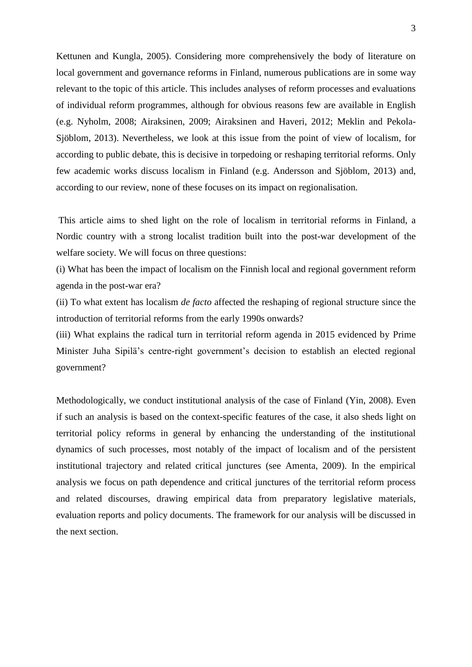Kettunen and Kungla, 2005). Considering more comprehensively the body of literature on local government and governance reforms in Finland, numerous publications are in some way relevant to the topic of this article. This includes analyses of reform processes and evaluations of individual reform programmes, although for obvious reasons few are available in English (e.g. Nyholm, 2008; Airaksinen, 2009; Airaksinen and Haveri, 2012; Meklin and Pekola-Sjöblom, 2013). Nevertheless, we look at this issue from the point of view of localism, for according to public debate, this is decisive in torpedoing or reshaping territorial reforms. Only few academic works discuss localism in Finland (e.g. Andersson and Sjöblom, 2013) and, according to our review, none of these focuses on its impact on regionalisation.

This article aims to shed light on the role of localism in territorial reforms in Finland, a Nordic country with a strong localist tradition built into the post-war development of the welfare society. We will focus on three questions:

(i) What has been the impact of localism on the Finnish local and regional government reform agenda in the post-war era?

(ii) To what extent has localism *de facto* affected the reshaping of regional structure since the introduction of territorial reforms from the early 1990s onwards?

(iii) What explains the radical turn in territorial reform agenda in 2015 evidenced by Prime Minister Juha Sipilä's centre-right government's decision to establish an elected regional government?

Methodologically, we conduct institutional analysis of the case of Finland (Yin, 2008). Even if such an analysis is based on the context-specific features of the case, it also sheds light on territorial policy reforms in general by enhancing the understanding of the institutional dynamics of such processes, most notably of the impact of localism and of the persistent institutional trajectory and related critical junctures (see Amenta, 2009). In the empirical analysis we focus on path dependence and critical junctures of the territorial reform process and related discourses, drawing empirical data from preparatory legislative materials, evaluation reports and policy documents. The framework for our analysis will be discussed in the next section.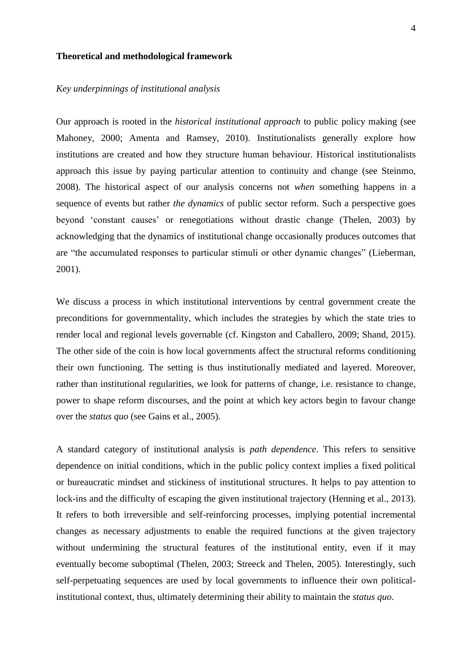# **Theoretical and methodological framework**

#### *Key underpinnings of institutional analysis*

Our approach is rooted in the *historical institutional approach* to public policy making (see Mahoney, 2000; Amenta and Ramsey, 2010). Institutionalists generally explore how institutions are created and how they structure human behaviour. Historical institutionalists approach this issue by paying particular attention to continuity and change (see Steinmo, 2008). The historical aspect of our analysis concerns not *when* something happens in a sequence of events but rather *the dynamics* of public sector reform. Such a perspective goes beyond 'constant causes' or renegotiations without drastic change (Thelen, 2003) by acknowledging that the dynamics of institutional change occasionally produces outcomes that are "the accumulated responses to particular stimuli or other dynamic changes" (Lieberman, 2001).

We discuss a process in which institutional interventions by central government create the preconditions for governmentality, which includes the strategies by which the state tries to render local and regional levels governable (cf. Kingston and Caballero, 2009; Shand, 2015). The other side of the coin is how local governments affect the structural reforms conditioning their own functioning. The setting is thus institutionally mediated and layered. Moreover, rather than institutional regularities, we look for patterns of change, i.e. resistance to change, power to shape reform discourses, and the point at which key actors begin to favour change over the *status quo* (see Gains et al., 2005).

A standard category of institutional analysis is *path dependence*. This refers to sensitive dependence on initial conditions, which in the public policy context implies a fixed political or bureaucratic mindset and stickiness of institutional structures. It helps to pay attention to lock-ins and the difficulty of escaping the given institutional trajectory (Henning et al., 2013). It refers to both irreversible and self-reinforcing processes, implying potential incremental changes as necessary adjustments to enable the required functions at the given trajectory without undermining the structural features of the institutional entity, even if it may eventually become suboptimal (Thelen, 2003; Streeck and Thelen, 2005). Interestingly, such self-perpetuating sequences are used by local governments to influence their own politicalinstitutional context, thus, ultimately determining their ability to maintain the *status quo*.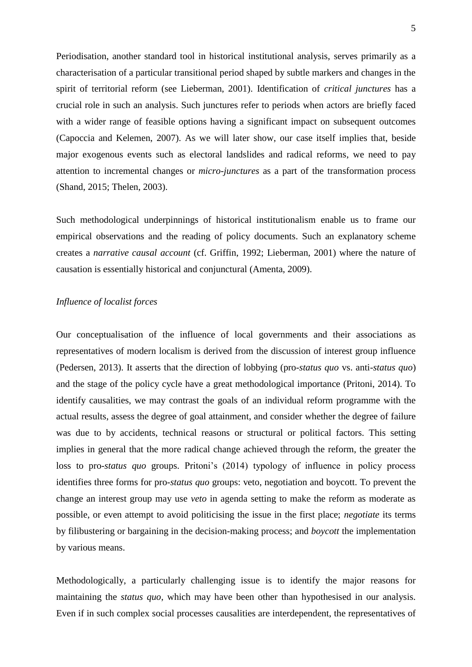Periodisation, another standard tool in historical institutional analysis, serves primarily as a characterisation of a particular transitional period shaped by subtle markers and changes in the spirit of territorial reform (see Lieberman, 2001). Identification of *critical junctures* has a crucial role in such an analysis. Such junctures refer to periods when actors are briefly faced with a wider range of feasible options having a significant impact on subsequent outcomes (Capoccia and Kelemen, 2007). As we will later show, our case itself implies that, beside major exogenous events such as electoral landslides and radical reforms, we need to pay attention to incremental changes or *micro-junctures* as a part of the transformation process (Shand, 2015; Thelen, 2003).

Such methodological underpinnings of historical institutionalism enable us to frame our empirical observations and the reading of policy documents. Such an explanatory scheme creates a *narrative causal account* (cf. Griffin, 1992; Lieberman, 2001) where the nature of causation is essentially historical and conjunctural (Amenta, 2009).

## *Influence of localist forces*

Our conceptualisation of the influence of local governments and their associations as representatives of modern localism is derived from the discussion of interest group influence (Pedersen, 2013). It asserts that the direction of lobbying (pro-*status quo* vs. anti-*status quo*) and the stage of the policy cycle have a great methodological importance (Pritoni, 2014). To identify causalities, we may contrast the goals of an individual reform programme with the actual results, assess the degree of goal attainment, and consider whether the degree of failure was due to by accidents, technical reasons or structural or political factors. This setting implies in general that the more radical change achieved through the reform, the greater the loss to pro-*status quo* groups. Pritoni's (2014) typology of influence in policy process identifies three forms for pro-*status quo* groups: veto, negotiation and boycott. To prevent the change an interest group may use *veto* in agenda setting to make the reform as moderate as possible, or even attempt to avoid politicising the issue in the first place; *negotiate* its terms by filibustering or bargaining in the decision-making process; and *boycott* the implementation by various means.

Methodologically, a particularly challenging issue is to identify the major reasons for maintaining the *status quo*, which may have been other than hypothesised in our analysis. Even if in such complex social processes causalities are interdependent, the representatives of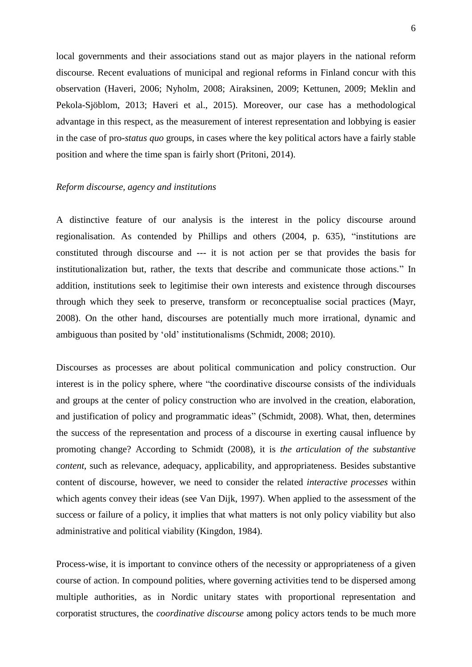local governments and their associations stand out as major players in the national reform discourse. Recent evaluations of municipal and regional reforms in Finland concur with this observation (Haveri, 2006; Nyholm, 2008; Airaksinen, 2009; Kettunen, 2009; Meklin and Pekola-Sjöblom, 2013; Haveri et al., 2015). Moreover, our case has a methodological advantage in this respect, as the measurement of interest representation and lobbying is easier in the case of pro-*status quo* groups, in cases where the key political actors have a fairly stable position and where the time span is fairly short (Pritoni, 2014).

#### *Reform discourse, agency and institutions*

A distinctive feature of our analysis is the interest in the policy discourse around regionalisation. As contended by Phillips and others (2004, p. 635), "institutions are constituted through discourse and --- it is not action per se that provides the basis for institutionalization but, rather, the texts that describe and communicate those actions." In addition, institutions seek to legitimise their own interests and existence through discourses through which they seek to preserve, transform or reconceptualise social practices (Mayr, 2008). On the other hand, discourses are potentially much more irrational, dynamic and ambiguous than posited by 'old' institutionalisms (Schmidt, 2008; 2010).

Discourses as processes are about political communication and policy construction. Our interest is in the policy sphere, where "the coordinative discourse consists of the individuals and groups at the center of policy construction who are involved in the creation, elaboration, and justification of policy and programmatic ideas" (Schmidt, 2008). What, then, determines the success of the representation and process of a discourse in exerting causal influence by promoting change? According to Schmidt (2008), it is *the articulation of the substantive content*, such as relevance, adequacy, applicability, and appropriateness. Besides substantive content of discourse, however, we need to consider the related *interactive processes* within which agents convey their ideas (see Van Dijk, 1997). When applied to the assessment of the success or failure of a policy, it implies that what matters is not only policy viability but also administrative and political viability (Kingdon, 1984).

Process-wise, it is important to convince others of the necessity or appropriateness of a given course of action. In compound polities, where governing activities tend to be dispersed among multiple authorities, as in Nordic unitary states with proportional representation and corporatist structures, the *coordinative discourse* among policy actors tends to be much more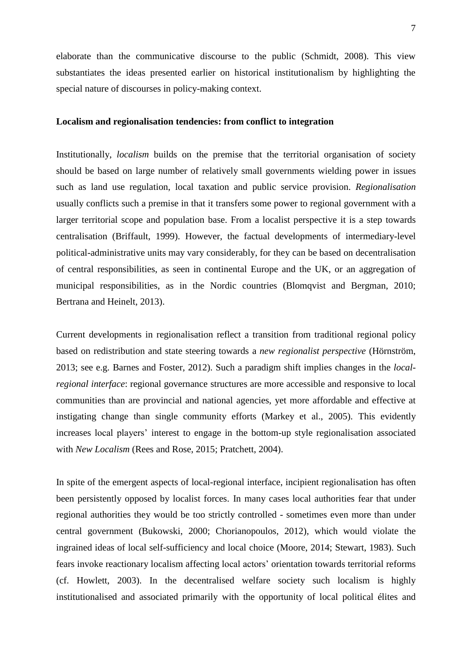elaborate than the communicative discourse to the public (Schmidt, 2008). This view substantiates the ideas presented earlier on historical institutionalism by highlighting the special nature of discourses in policy-making context.

## **Localism and regionalisation tendencies: from conflict to integration**

Institutionally, *localism* builds on the premise that the territorial organisation of society should be based on large number of relatively small governments wielding power in issues such as land use regulation, local taxation and public service provision. *Regionalisation* usually conflicts such a premise in that it transfers some power to regional government with a larger territorial scope and population base. From a localist perspective it is a step towards centralisation (Briffault, 1999). However, the factual developments of intermediary-level political-administrative units may vary considerably, for they can be based on decentralisation of central responsibilities, as seen in continental Europe and the UK, or an aggregation of municipal responsibilities, as in the Nordic countries (Blomqvist and Bergman, 2010; Bertrana and Heinelt, 2013).

Current developments in regionalisation reflect a transition from traditional regional policy based on redistribution and state steering towards a *new regionalist perspective* (Hörnström, 2013; see e.g. Barnes and Foster, 2012). Such a paradigm shift implies changes in the *localregional interface*: regional governance structures are more accessible and responsive to local communities than are provincial and national agencies, yet more affordable and effective at instigating change than single community efforts (Markey et al., 2005). This evidently increases local players' interest to engage in the bottom-up style regionalisation associated with *New Localism* (Rees and Rose, 2015; Pratchett, 2004).

In spite of the emergent aspects of local-regional interface, incipient regionalisation has often been persistently opposed by localist forces. In many cases local authorities fear that under regional authorities they would be too strictly controlled - sometimes even more than under central government (Bukowski, 2000; Chorianopoulos, 2012), which would violate the ingrained ideas of local self-sufficiency and local choice (Moore, 2014; Stewart, 1983). Such fears invoke reactionary localism affecting local actors' orientation towards territorial reforms (cf. Howlett, 2003). In the decentralised welfare society such localism is highly institutionalised and associated primarily with the opportunity of local political élites and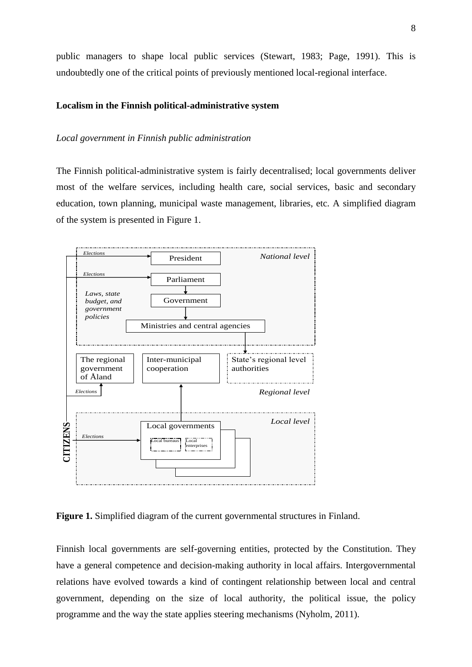public managers to shape local public services (Stewart, 1983; Page, 1991). This is undoubtedly one of the critical points of previously mentioned local-regional interface.

## **Localism in the Finnish political-administrative system**

## *Local government in Finnish public administration*

The Finnish political-administrative system is fairly decentralised; local governments deliver most of the welfare services, including health care, social services, basic and secondary education, town planning, municipal waste management, libraries, etc. A simplified diagram of the system is presented in Figure 1.



**Figure 1.** Simplified diagram of the current governmental structures in Finland.

Finnish local governments are self-governing entities, protected by the Constitution. They have a general competence and decision-making authority in local affairs. Intergovernmental relations have evolved towards a kind of contingent relationship between local and central government, depending on the size of local authority, the political issue, the policy programme and the way the state applies steering mechanisms (Nyholm, 2011).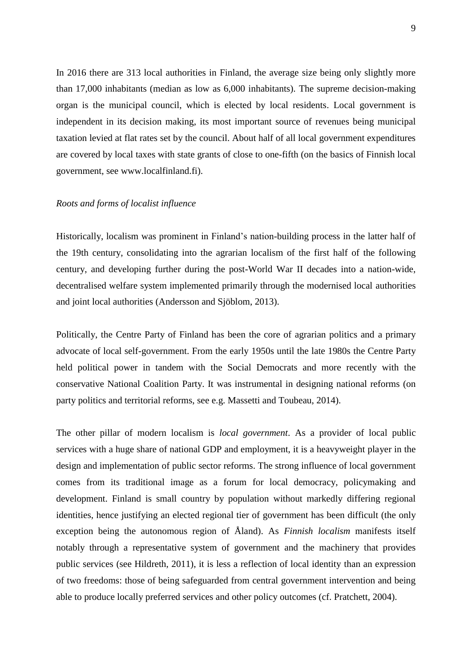In 2016 there are 313 local authorities in Finland, the average size being only slightly more than 17,000 inhabitants (median as low as 6,000 inhabitants). The supreme decision-making organ is the municipal council, which is elected by local residents. Local government is independent in its decision making, its most important source of revenues being municipal taxation levied at flat rates set by the council. About half of all local government expenditures are covered by local taxes with state grants of close to one-fifth (on the basics of Finnish local government, see www.localfinland.fi).

## *Roots and forms of localist influence*

Historically, localism was prominent in Finland's nation-building process in the latter half of the 19th century, consolidating into the agrarian localism of the first half of the following century, and developing further during the post-World War II decades into a nation-wide, decentralised welfare system implemented primarily through the modernised local authorities and joint local authorities (Andersson and Sjöblom, 2013).

Politically, the Centre Party of Finland has been the core of agrarian politics and a primary advocate of local self-government. From the early 1950s until the late 1980s the Centre Party held political power in tandem with the Social Democrats and more recently with the conservative National Coalition Party. It was instrumental in designing national reforms (on party politics and territorial reforms, see e.g. Massetti and Toubeau, 2014).

The other pillar of modern localism is *local government*. As a provider of local public services with a huge share of national GDP and employment, it is a heavyweight player in the design and implementation of public sector reforms. The strong influence of local government comes from its traditional image as a forum for local democracy, policymaking and development. Finland is small country by population without markedly differing regional identities, hence justifying an elected regional tier of government has been difficult (the only exception being the autonomous region of Åland). As *Finnish localism* manifests itself notably through a representative system of government and the machinery that provides public services (see Hildreth, 2011), it is less a reflection of local identity than an expression of two freedoms: those of being safeguarded from central government intervention and being able to produce locally preferred services and other policy outcomes (cf. Pratchett, 2004).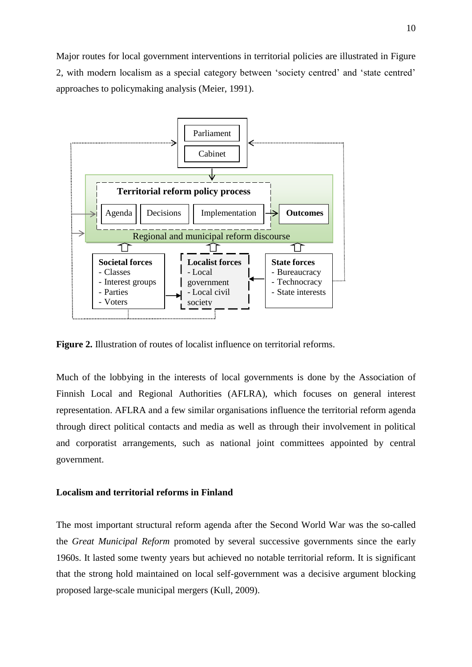Major routes for local government interventions in territorial policies are illustrated in Figure 2, with modern localism as a special category between 'society centred' and 'state centred' approaches to policymaking analysis (Meier, 1991).



**Figure 2.** Illustration of routes of localist influence on territorial reforms.

Much of the lobbying in the interests of local governments is done by the Association of Finnish Local and Regional Authorities (AFLRA), which focuses on general interest representation. AFLRA and a few similar organisations influence the territorial reform agenda through direct political contacts and media as well as through their involvement in political and corporatist arrangements, such as national joint committees appointed by central government.

# **Localism and territorial reforms in Finland**

The most important structural reform agenda after the Second World War was the so-called the *Great Municipal Reform* promoted by several successive governments since the early 1960s. It lasted some twenty years but achieved no notable territorial reform. It is significant that the strong hold maintained on local self-government was a decisive argument blocking proposed large-scale municipal mergers (Kull, 2009).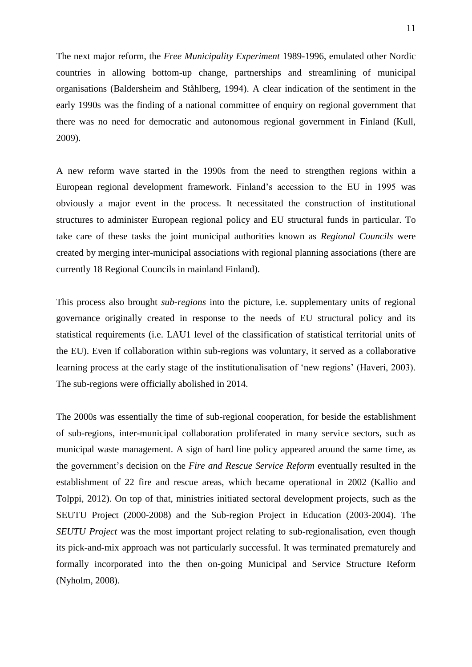The next major reform, the *Free Municipality Experiment* 1989-1996, emulated other Nordic countries in allowing bottom-up change, partnerships and streamlining of municipal organisations (Baldersheim and Ståhlberg, 1994). A clear indication of the sentiment in the early 1990s was the finding of a national committee of enquiry on regional government that there was no need for democratic and autonomous regional government in Finland (Kull, 2009).

A new reform wave started in the 1990s from the need to strengthen regions within a European regional development framework. Finland's accession to the EU in 1995 was obviously a major event in the process. It necessitated the construction of institutional structures to administer European regional policy and EU structural funds in particular. To take care of these tasks the joint municipal authorities known as *Regional Councils* were created by merging inter-municipal associations with regional planning associations (there are currently 18 Regional Councils in mainland Finland).

This process also brought *sub-regions* into the picture, i.e. supplementary units of regional governance originally created in response to the needs of EU structural policy and its statistical requirements (i.e. LAU1 level of the classification of statistical territorial units of the EU). Even if collaboration within sub-regions was voluntary, it served as a collaborative learning process at the early stage of the institutionalisation of 'new regions' (Haveri, 2003). The sub-regions were officially abolished in 2014.

The 2000s was essentially the time of sub-regional cooperation, for beside the establishment of sub-regions, inter-municipal collaboration proliferated in many service sectors, such as municipal waste management. A sign of hard line policy appeared around the same time, as the government's decision on the *Fire and Rescue Service Reform* eventually resulted in the establishment of 22 fire and rescue areas, which became operational in 2002 (Kallio and Tolppi, 2012). On top of that, ministries initiated sectoral development projects, such as the SEUTU Project (2000-2008) and the Sub-region Project in Education (2003-2004). The *SEUTU Project* was the most important project relating to sub-regionalisation, even though its pick-and-mix approach was not particularly successful. It was terminated prematurely and formally incorporated into the then on-going Municipal and Service Structure Reform (Nyholm, 2008).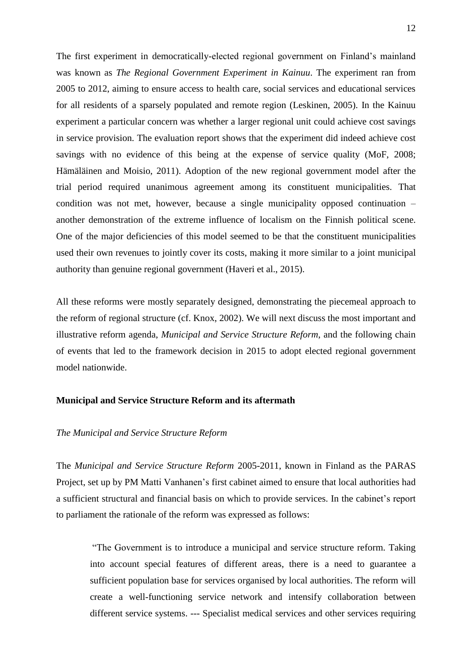The first experiment in democratically-elected regional government on Finland's mainland was known as *The Regional Government Experiment in Kainuu*. The experiment ran from 2005 to 2012, aiming to ensure access to health care, social services and educational services for all residents of a sparsely populated and remote region (Leskinen, 2005). In the Kainuu experiment a particular concern was whether a larger regional unit could achieve cost savings in service provision. The evaluation report shows that the experiment did indeed achieve cost savings with no evidence of this being at the expense of service quality (MoF, 2008; Hämäläinen and Moisio, 2011). Adoption of the new regional government model after the trial period required unanimous agreement among its constituent municipalities. That condition was not met, however, because a single municipality opposed continuation – another demonstration of the extreme influence of localism on the Finnish political scene. One of the major deficiencies of this model seemed to be that the constituent municipalities used their own revenues to jointly cover its costs, making it more similar to a joint municipal authority than genuine regional government (Haveri et al., 2015).

All these reforms were mostly separately designed, demonstrating the piecemeal approach to the reform of regional structure (cf. Knox, 2002). We will next discuss the most important and illustrative reform agenda, *Municipal and Service Structure Reform*, and the following chain of events that led to the framework decision in 2015 to adopt elected regional government model nationwide.

## **Municipal and Service Structure Reform and its aftermath**

#### *The Municipal and Service Structure Reform*

The *Municipal and Service Structure Reform* 2005-2011, known in Finland as the PARAS Project, set up by PM Matti Vanhanen's first cabinet aimed to ensure that local authorities had a sufficient structural and financial basis on which to provide services. In the cabinet's report to parliament the rationale of the reform was expressed as follows:

"The Government is to introduce a municipal and service structure reform. Taking into account special features of different areas, there is a need to guarantee a sufficient population base for services organised by local authorities. The reform will create a well-functioning service network and intensify collaboration between different service systems. --- Specialist medical services and other services requiring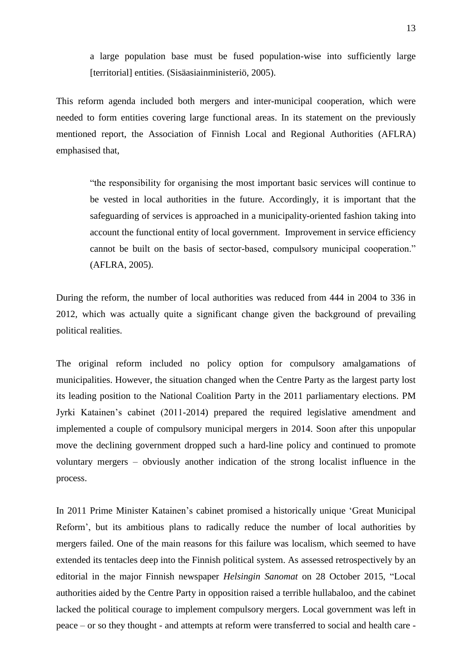a large population base must be fused population-wise into sufficiently large [territorial] entities. (Sisäasiainministeriö, 2005).

This reform agenda included both mergers and inter-municipal cooperation, which were needed to form entities covering large functional areas. In its statement on the previously mentioned report, the Association of Finnish Local and Regional Authorities (AFLRA) emphasised that,

"the responsibility for organising the most important basic services will continue to be vested in local authorities in the future. Accordingly, it is important that the safeguarding of services is approached in a municipality-oriented fashion taking into account the functional entity of local government. Improvement in service efficiency cannot be built on the basis of sector-based, compulsory municipal cooperation." (AFLRA, 2005).

During the reform, the number of local authorities was reduced from 444 in 2004 to 336 in 2012, which was actually quite a significant change given the background of prevailing political realities.

The original reform included no policy option for compulsory amalgamations of municipalities. However, the situation changed when the Centre Party as the largest party lost its leading position to the National Coalition Party in the 2011 parliamentary elections. PM Jyrki Katainen's cabinet (2011-2014) prepared the required legislative amendment and implemented a couple of compulsory municipal mergers in 2014. Soon after this unpopular move the declining government dropped such a hard-line policy and continued to promote voluntary mergers – obviously another indication of the strong localist influence in the process.

In 2011 Prime Minister Katainen's cabinet promised a historically unique 'Great Municipal Reform', but its ambitious plans to radically reduce the number of local authorities by mergers failed. One of the main reasons for this failure was localism, which seemed to have extended its tentacles deep into the Finnish political system. As assessed retrospectively by an editorial in the major Finnish newspaper *Helsingin Sanomat* on 28 October 2015, "Local authorities aided by the Centre Party in opposition raised a terrible hullabaloo, and the cabinet lacked the political courage to implement compulsory mergers. Local government was left in peace – or so they thought - and attempts at reform were transferred to social and health care -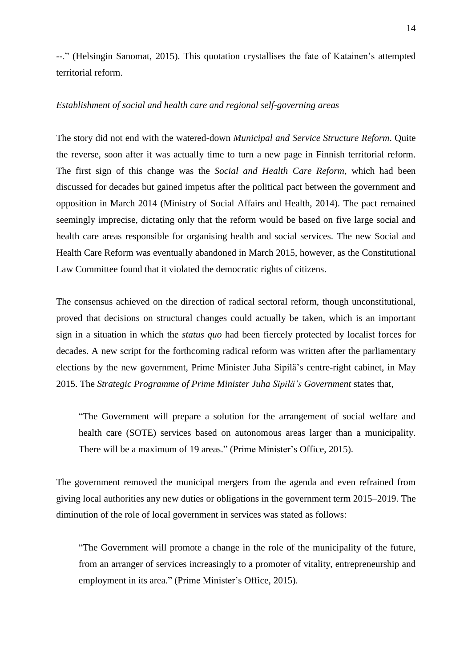--." (Helsingin Sanomat, 2015). This quotation crystallises the fate of Katainen's attempted territorial reform.

# *Establishment of social and health care and regional self-governing areas*

The story did not end with the watered-down *Municipal and Service Structure Reform*. Quite the reverse, soon after it was actually time to turn a new page in Finnish territorial reform. The first sign of this change was the *Social and Health Care Reform*, which had been discussed for decades but gained impetus after the political pact between the government and opposition in March 2014 (Ministry of Social Affairs and Health, 2014). The pact remained seemingly imprecise, dictating only that the reform would be based on five large social and health care areas responsible for organising health and social services. The new Social and Health Care Reform was eventually abandoned in March 2015, however, as the Constitutional Law Committee found that it violated the democratic rights of citizens.

The consensus achieved on the direction of radical sectoral reform, though unconstitutional, proved that decisions on structural changes could actually be taken, which is an important sign in a situation in which the *status quo* had been fiercely protected by localist forces for decades. A new script for the forthcoming radical reform was written after the parliamentary elections by the new government, Prime Minister Juha Sipilä's centre-right cabinet, in May 2015. The *Strategic Programme of Prime Minister Juha Sipilä's Government* states that,

"The Government will prepare a solution for the arrangement of social welfare and health care (SOTE) services based on autonomous areas larger than a municipality. There will be a maximum of 19 areas." (Prime Minister's Office, 2015).

The government removed the municipal mergers from the agenda and even refrained from giving local authorities any new duties or obligations in the government term 2015–2019. The diminution of the role of local government in services was stated as follows:

"The Government will promote a change in the role of the municipality of the future, from an arranger of services increasingly to a promoter of vitality, entrepreneurship and employment in its area." (Prime Minister's Office, 2015).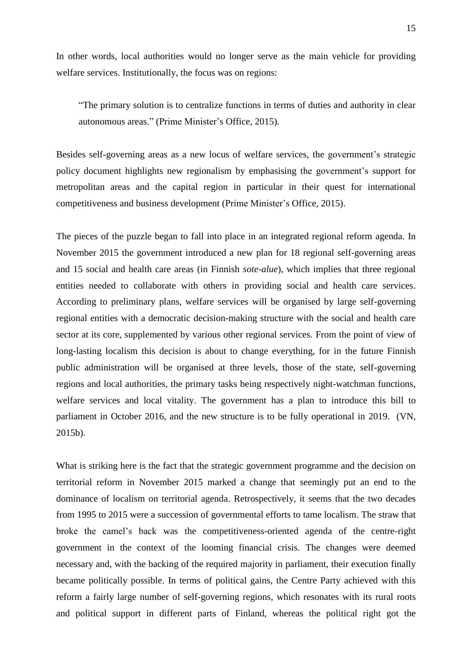In other words, local authorities would no longer serve as the main vehicle for providing welfare services. Institutionally, the focus was on regions:

"The primary solution is to centralize functions in terms of duties and authority in clear autonomous areas." (Prime Minister's Office, 2015).

Besides self-governing areas as a new locus of welfare services, the government's strategic policy document highlights new regionalism by emphasising the government's support for metropolitan areas and the capital region in particular in their quest for international competitiveness and business development (Prime Minister's Office, 2015).

The pieces of the puzzle began to fall into place in an integrated regional reform agenda. In November 2015 the government introduced a new plan for 18 regional self-governing areas and 15 social and health care areas (in Finnish *sote-alue*), which implies that three regional entities needed to collaborate with others in providing social and health care services. According to preliminary plans, welfare services will be organised by large self-governing regional entities with a democratic decision-making structure with the social and health care sector at its core, supplemented by various other regional services. From the point of view of long-lasting localism this decision is about to change everything, for in the future Finnish public administration will be organised at three levels, those of the state, self-governing regions and local authorities, the primary tasks being respectively night-watchman functions, welfare services and local vitality. The government has a plan to introduce this bill to parliament in October 2016, and the new structure is to be fully operational in 2019. (VN, 2015b).

What is striking here is the fact that the strategic government programme and the decision on territorial reform in November 2015 marked a change that seemingly put an end to the dominance of localism on territorial agenda. Retrospectively, it seems that the two decades from 1995 to 2015 were a succession of governmental efforts to tame localism. The straw that broke the camel's back was the competitiveness-oriented agenda of the centre-right government in the context of the looming financial crisis. The changes were deemed necessary and, with the backing of the required majority in parliament, their execution finally became politically possible. In terms of political gains, the Centre Party achieved with this reform a fairly large number of self-governing regions, which resonates with its rural roots and political support in different parts of Finland, whereas the political right got the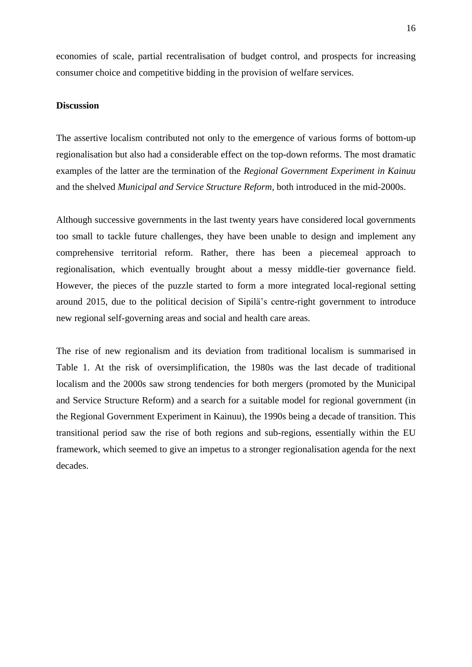economies of scale, partial recentralisation of budget control, and prospects for increasing consumer choice and competitive bidding in the provision of welfare services.

#### **Discussion**

The assertive localism contributed not only to the emergence of various forms of bottom-up regionalisation but also had a considerable effect on the top-down reforms. The most dramatic examples of the latter are the termination of the *Regional Government Experiment in Kainuu*  and the shelved *Municipal and Service Structure Reform,* both introduced in the mid-2000s.

Although successive governments in the last twenty years have considered local governments too small to tackle future challenges, they have been unable to design and implement any comprehensive territorial reform. Rather, there has been a piecemeal approach to regionalisation, which eventually brought about a messy middle-tier governance field. However, the pieces of the puzzle started to form a more integrated local-regional setting around 2015, due to the political decision of Sipilä's centre-right government to introduce new regional self-governing areas and social and health care areas.

The rise of new regionalism and its deviation from traditional localism is summarised in Table 1. At the risk of oversimplification, the 1980s was the last decade of traditional localism and the 2000s saw strong tendencies for both mergers (promoted by the Municipal and Service Structure Reform) and a search for a suitable model for regional government (in the Regional Government Experiment in Kainuu), the 1990s being a decade of transition. This transitional period saw the rise of both regions and sub-regions, essentially within the EU framework, which seemed to give an impetus to a stronger regionalisation agenda for the next decades.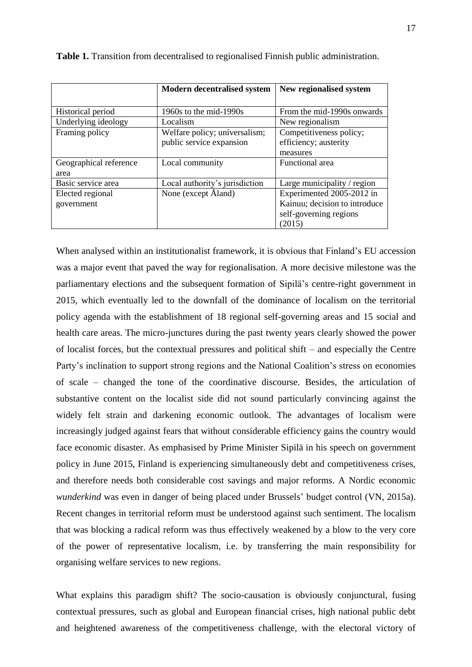|                        | <b>Modern decentralised system</b> | New regionalised system       |
|------------------------|------------------------------------|-------------------------------|
|                        |                                    |                               |
| Historical period      | 1960s to the mid-1990s             | From the mid-1990s onwards    |
| Underlying ideology    | Localism                           | New regionalism               |
| Framing policy         | Welfare policy; universalism;      | Competitiveness policy;       |
|                        | public service expansion           | efficiency; austerity         |
|                        |                                    | measures                      |
| Geographical reference | Local community                    | Functional area               |
| area                   |                                    |                               |
| Basic service area     | Local authority's jurisdiction     | Large municipality / region   |
| Elected regional       | None (except Åland)                | Experimented 2005-2012 in     |
| government             |                                    | Kainuu; decision to introduce |
|                        |                                    | self-governing regions        |
|                        |                                    | (2015)                        |

**Table 1.** Transition from decentralised to regionalised Finnish public administration.

When analysed within an institutionalist framework, it is obvious that Finland's EU accession was a major event that paved the way for regionalisation. A more decisive milestone was the parliamentary elections and the subsequent formation of Sipilä's centre-right government in 2015, which eventually led to the downfall of the dominance of localism on the territorial policy agenda with the establishment of 18 regional self-governing areas and 15 social and health care areas. The micro-junctures during the past twenty years clearly showed the power of localist forces, but the contextual pressures and political shift – and especially the Centre Party's inclination to support strong regions and the National Coalition's stress on economies of scale – changed the tone of the coordinative discourse. Besides, the articulation of substantive content on the localist side did not sound particularly convincing against the widely felt strain and darkening economic outlook. The advantages of localism were increasingly judged against fears that without considerable efficiency gains the country would face economic disaster. As emphasised by Prime Minister Sipilä in his speech on government policy in June 2015, Finland is experiencing simultaneously debt and competitiveness crises, and therefore needs both considerable cost savings and major reforms. A Nordic economic *wunderkind* was even in danger of being placed under Brussels' budget control (VN, 2015a). Recent changes in territorial reform must be understood against such sentiment. The localism that was blocking a radical reform was thus effectively weakened by a blow to the very core of the power of representative localism, i.e. by transferring the main responsibility for organising welfare services to new regions.

What explains this paradigm shift? The socio-causation is obviously conjunctural, fusing contextual pressures, such as global and European financial crises, high national public debt and heightened awareness of the competitiveness challenge, with the electoral victory of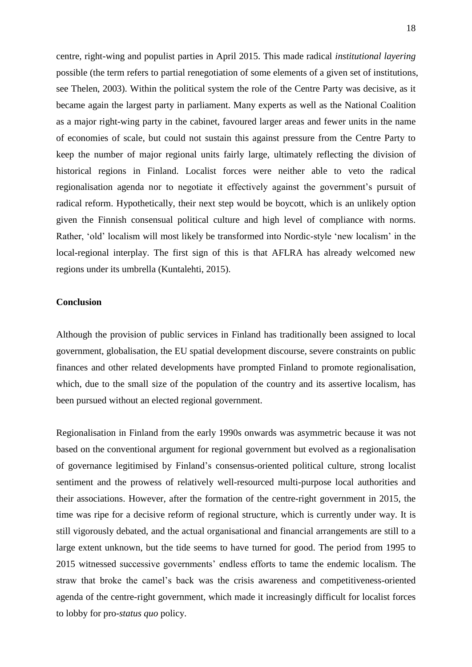centre, right-wing and populist parties in April 2015. This made radical *institutional layering* possible (the term refers to partial renegotiation of some elements of a given set of institutions, see Thelen, 2003). Within the political system the role of the Centre Party was decisive, as it became again the largest party in parliament. Many experts as well as the National Coalition as a major right-wing party in the cabinet, favoured larger areas and fewer units in the name of economies of scale, but could not sustain this against pressure from the Centre Party to keep the number of major regional units fairly large, ultimately reflecting the division of historical regions in Finland. Localist forces were neither able to veto the radical regionalisation agenda nor to negotiate it effectively against the government's pursuit of radical reform. Hypothetically, their next step would be boycott, which is an unlikely option given the Finnish consensual political culture and high level of compliance with norms. Rather, 'old' localism will most likely be transformed into Nordic-style 'new localism' in the local-regional interplay. The first sign of this is that AFLRA has already welcomed new regions under its umbrella (Kuntalehti, 2015).

#### **Conclusion**

Although the provision of public services in Finland has traditionally been assigned to local government, globalisation, the EU spatial development discourse, severe constraints on public finances and other related developments have prompted Finland to promote regionalisation, which, due to the small size of the population of the country and its assertive localism, has been pursued without an elected regional government.

Regionalisation in Finland from the early 1990s onwards was asymmetric because it was not based on the conventional argument for regional government but evolved as a regionalisation of governance legitimised by Finland's consensus-oriented political culture, strong localist sentiment and the prowess of relatively well-resourced multi-purpose local authorities and their associations. However, after the formation of the centre-right government in 2015, the time was ripe for a decisive reform of regional structure, which is currently under way. It is still vigorously debated, and the actual organisational and financial arrangements are still to a large extent unknown, but the tide seems to have turned for good. The period from 1995 to 2015 witnessed successive governments' endless efforts to tame the endemic localism. The straw that broke the camel's back was the crisis awareness and competitiveness-oriented agenda of the centre-right government, which made it increasingly difficult for localist forces to lobby for pro-*status quo* policy.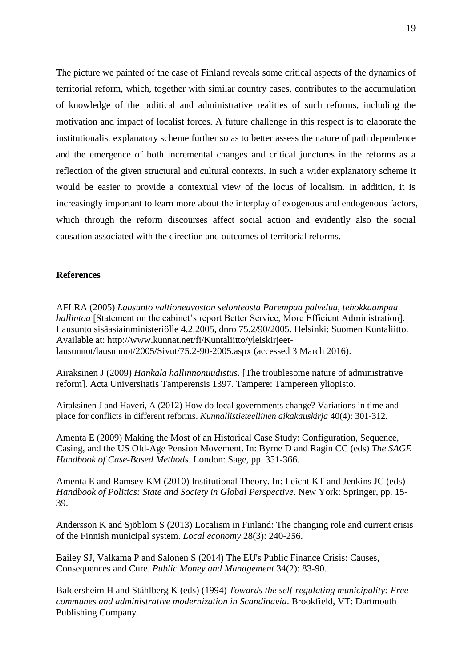The picture we painted of the case of Finland reveals some critical aspects of the dynamics of territorial reform, which, together with similar country cases, contributes to the accumulation of knowledge of the political and administrative realities of such reforms, including the motivation and impact of localist forces. A future challenge in this respect is to elaborate the institutionalist explanatory scheme further so as to better assess the nature of path dependence and the emergence of both incremental changes and critical junctures in the reforms as a reflection of the given structural and cultural contexts. In such a wider explanatory scheme it would be easier to provide a contextual view of the locus of localism. In addition, it is increasingly important to learn more about the interplay of exogenous and endogenous factors, which through the reform discourses affect social action and evidently also the social causation associated with the direction and outcomes of territorial reforms.

## **References**

AFLRA (2005) *Lausunto valtioneuvoston selonteosta Parempaa palvelua, tehokkaampaa hallintoa* [Statement on the cabinet's report Better Service, More Efficient Administration]. Lausunto sisäasiainministeriölle 4.2.2005, dnro 75.2/90/2005. Helsinki: Suomen Kuntaliitto. Available at: http://www.kunnat.net/fi/Kuntaliitto/yleiskirjeetlausunnot/lausunnot/2005/Sivut/75.2-90-2005.aspx (accessed 3 March 2016).

Airaksinen J (2009) *Hankala hallinnonuudistus*. [The troublesome nature of administrative reform]. Acta Universitatis Tamperensis 1397. Tampere: Tampereen yliopisto.

Airaksinen J and Haveri, A (2012) How do local governments change? Variations in time and place for conflicts in different reforms. *Kunnallistieteellinen aikakauskirja* 40(4): 301-312.

Amenta E (2009) Making the Most of an Historical Case Study: Configuration, Sequence, Casing, and the US Old-Age Pension Movement. In: Byrne D and Ragin CC (eds) *The SAGE Handbook of Case-Based Methods*. London: Sage, pp. 351-366.

Amenta E and Ramsey KM (2010) Institutional Theory. In: Leicht KT and Jenkins JC (eds) *Handbook of Politics: State and Society in Global Perspective*. New York: Springer, pp. 15- 39.

Andersson K and Sjöblom S (2013) Localism in Finland: The changing role and current crisis of the Finnish municipal system. *Local economy* 28(3): 240-256.

Bailey SJ, Valkama P and Salonen S (2014) The EU's Public Finance Crisis: Causes, Consequences and Cure. *Public Money and Management* 34(2): 83-90.

Baldersheim H and Ståhlberg K (eds) (1994) *Towards the self-regulating municipality: Free communes and administrative modernization in Scandinavia*. Brookfield, VT: Dartmouth Publishing Company.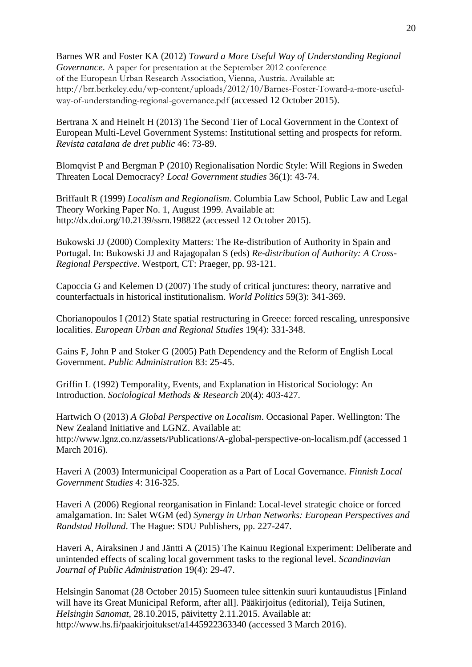Barnes WR and Foster KA (2012) *Toward a More Useful Way of Understanding Regional Governance*. A paper for presentation at the September 2012 conference of the European Urban Research Association, Vienna, Austria. Available at: http://brr.berkeley.edu/wp-content/uploads/2012/10/Barnes-Foster-Toward-a-more-usefulway-of-understanding-regional-governance.pdf (accessed 12 October 2015).

Bertrana X and Heinelt H (2013) The Second Tier of Local Government in the Context of European Multi-Level Government Systems: Institutional setting and prospects for reform. *Revista catalana de dret public* 46: 73-89.

Blomqvist P and Bergman P (2010) Regionalisation Nordic Style: Will Regions in Sweden Threaten Local Democracy? *Local Government studies* 36(1): 43-74.

Briffault R (1999) *Localism and Regionalism*. [Columbia Law School, Public Law and Legal](javascript:WinOpen(213270);)  [Theory Working Paper No. 1,](javascript:WinOpen(213270);) August 1999. Available at: http://dx.doi.org/10.2139/ssrn.198822 (accessed 12 October 2015).

Bukowski JJ (2000) Complexity Matters: The Re-distribution of Authority in Spain and Portugal. In: Bukowski JJ and Rajagopalan S (eds) *Re-distribution of Authority: A Cross-Regional Perspective*. Westport, CT: Praeger, pp. 93-121.

Capoccia G and Kelemen D (2007) The study of critical junctures: theory, narrative and counterfactuals in historical institutionalism. *World Politics* 59(3): 341-369.

Chorianopoulos I (2012) State spatial restructuring in Greece: forced rescaling, unresponsive localities. *European Urban and Regional Studies* 19(4): 331-348.

Gains F, John P and Stoker G (2005) Path Dependency and the Reform of English Local Government. *Public Administration* 83: 25-45.

Griffin L (1992) Temporality, Events, and Explanation in Historical Sociology: An Introduction. *Sociological Methods & Research* 20(4): 403-427.

Hartwich O (2013) *A Global Perspective on Localism*. Occasional Paper. Wellington: The New Zealand Initiative and LGNZ. Available at: http://www.lgnz.co.nz/assets/Publications/A-global-perspective-on-localism.pdf (accessed 1 March 2016).

Haveri A (2003) Intermunicipal Cooperation as a Part of Local Governance. *Finnish Local Government Studies* 4: 316-325.

Haveri A (2006) Regional reorganisation in Finland: Local-level strategic choice or forced amalgamation. In: Salet WGM (ed) *Synergy in Urban Networks: European Perspectives and Randstad Holland*. The Hague: SDU Publishers, pp. 227-247.

Haveri A, Airaksinen J and Jäntti A (2015) The Kainuu Regional Experiment: Deliberate and unintended effects of scaling local government tasks to the regional level. *Scandinavian Journal of Public Administration* 19(4): 29-47.

Helsingin Sanomat (28 October 2015) Suomeen tulee sittenkin suuri kuntauudistus [Finland will have its Great Municipal Reform, after all]. [Pääkirjoitus](http://www.hs.fi/paakirjoitukset/) (editorial), Teija Sutinen, *Helsingin Sanomat*, 28.10.2015, päivitetty 2.11.2015. Available at: http://www.hs.fi/paakirjoitukset/a1445922363340 (accessed 3 March 2016).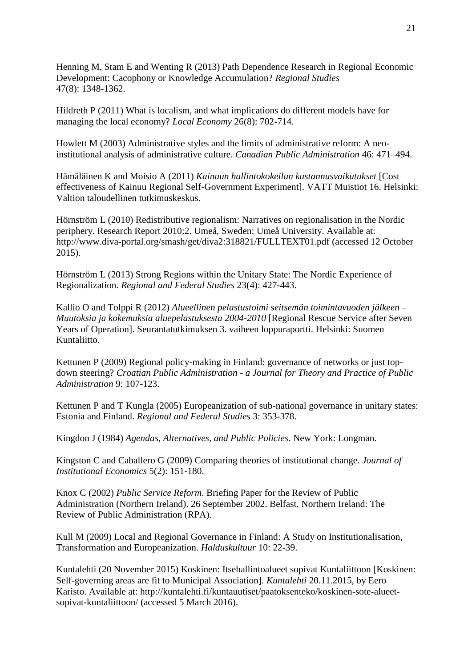Henning M, Stam E and Wenting R (2013) [Path Dependence Research in Regional Economic](http://www.tandfonline.com/doi/abs/10.1080/00343404.2012.750422)  [Development: Cacophony or Knowledge Accumulation?](http://www.tandfonline.com/doi/abs/10.1080/00343404.2012.750422) *Regional Studies* 47(8): 1348-1362.

Hildreth P (2011) What is localism, and what implications do different models have for managing the local economy? *Local Economy* 26(8): 702-714.

Howlett M (2003) Administrative styles and the limits of administrative reform: A neoinstitutional analysis of administrative culture. *Canadian Public Administration* 46: 471–494.

Hämäläinen K and Moisio A (2011) *Kainuun hallintokokeilun kustannusvaikutukset* [Cost effectiveness of Kainuu Regional Self-Government Experiment]. VATT Muistiot 16. Helsinki: Valtion taloudellinen tutkimuskeskus.

Hörnström L (2010) Redistributive regionalism: Narratives on regionalisation in the Nordic periphery. Research Report 2010:2. Umeå, Sweden: Umeå University. Available at: http://www.diva-portal.org/smash/get/diva2:318821/FULLTEXT01.pdf (accessed 12 October 2015).

Hörnström L (2013) Strong Regions within the Unitary State: The Nordic Experience of Regionalization. *Regional and Federal Studies* 23(4): 427-443.

Kallio O and Tolppi R (2012) *Alueellinen pelastustoimi seitsemän toimintavuoden jälkeen – Muutoksia ja kokemuksia aluepelastuksesta 2004-2010* [Regional Rescue Service after Seven Years of Operation]. Seurantatutkimuksen 3. vaiheen loppuraportti. Helsinki: Suomen Kuntaliitto.

Kettunen P (2009) Regional policy-making in Finland: governance of networks or just topdown steering? *Croatian Public Administration - a Journal for Theory and Practice of Public Administration* 9: 107-123.

Kettunen P and T Kungla (2005) Europeanization of sub-national governance in unitary states: Estonia and Finland. *Regional and Federal Studies* 3: 353-378.

Kingdon J (1984) *Agendas, Alternatives, and Public Policies*. New York: Longman.

Kingston C and Caballero G (2009) Comparing theories of institutional change. *Journal of Institutional Economics* 5(2): 151-180.

Knox C (2002) *Public Service Reform*. Briefing Paper for the Review of Public Administration (Northern Ireland). 26 September 2002. Belfast, Northern Ireland: The Review of Public Administration (RPA).

Kull M (2009) Local and Regional Governance in Finland: A Study on Institutionalisation, Transformation and Europeanization. *Halduskultuur* 10: 22-39.

Kuntalehti (20 November 2015) Koskinen: Itsehallintoalueet sopivat Kuntaliittoon [Koskinen: Self-governing areas are fit to Municipal Association]. *Kuntalehti* 20.11.2015, by Eero Karisto. Available at: http://kuntalehti.fi/kuntauutiset/paatoksenteko/koskinen-sote-alueetsopivat-kuntaliittoon/ (accessed 5 March 2016).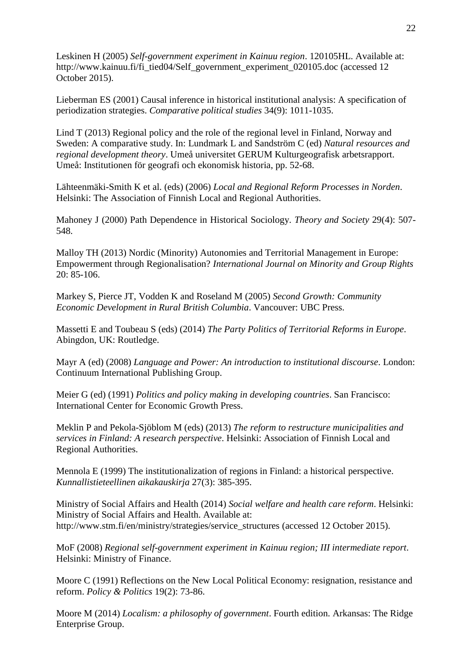Leskinen H (2005) *Self-government experiment in Kainuu region*. 120105HL. Available at: http://www.kainuu.fi/fi\_tied04/Self\_government\_experiment\_020105.doc (accessed 12 October 2015).

Lieberman ES (2001) Causal inference in historical institutional analysis: A specification of periodization strategies. *Comparative political studies* 34(9): 1011-1035.

Lind T (2013) Regional policy and the role of the regional level in Finland, Norway and Sweden: A comparative study. In: Lundmark L and Sandström C (ed) *Natural resources and regional development theory*. Umeå universitet GERUM Kulturgeografisk arbetsrapport. Umeå: Institutionen för geografi och ekonomisk historia, pp. 52-68.

Lähteenmäki-Smith K et al. (eds) (2006) *Local and Regional Reform Processes in Norden*. Helsinki: The Association of Finnish Local and Regional Authorities.

Mahoney J (2000) Path Dependence in Historical Sociology. *Theory and Society* 29(4): 507- 548.

Malloy TH (2013) Nordic (Minority) Autonomies and Territorial Management in Europe: Empowerment through Regionalisation? *International Journal on Minority and Group Rights* 20: 85-106.

Markey S, Pierce JT, Vodden K and Roseland M (2005) *Second Growth: Community Economic Development in Rural British Columbia*. Vancouver: UBC Press.

Massetti E and Toubeau S (eds) (2014) *The Party Politics of Territorial Reforms in Europe*. Abingdon, UK: Routledge.

Mayr A (ed) (2008) *Language and Power: An introduction to institutional discourse*. London: Continuum International Publishing Group.

Meier G (ed) (1991) *Politics and policy making in developing countries*. San Francisco: International Center for Economic Growth Press.

Meklin P and Pekola-Sjöblom M (eds) (2013) *The reform to restructure municipalities and services in Finland: A research perspective*. Helsinki: Association of Finnish Local and Regional Authorities.

Mennola E (1999) The institutionalization of regions in Finland: a historical perspective. *Kunnallistieteellinen aikakauskirja* 27(3): 385-395.

Ministry of Social Affairs and Health (2014) *Social welfare and health care reform*. Helsinki: Ministry of Social Affairs and Health. Available at: http://www.stm.fi/en/ministry/strategies/service\_structures (accessed 12 October 2015).

MoF (2008) *Regional self-government experiment in Kainuu region; III intermediate report*. Helsinki: Ministry of Finance.

Moore C (1991) Reflections on the New Local Political Economy: resignation, resistance and reform. *Policy & Politics* 19(2): 73-86.

Moore M (2014) *Localism: a philosophy of government*. Fourth edition. Arkansas: The Ridge Enterprise Group.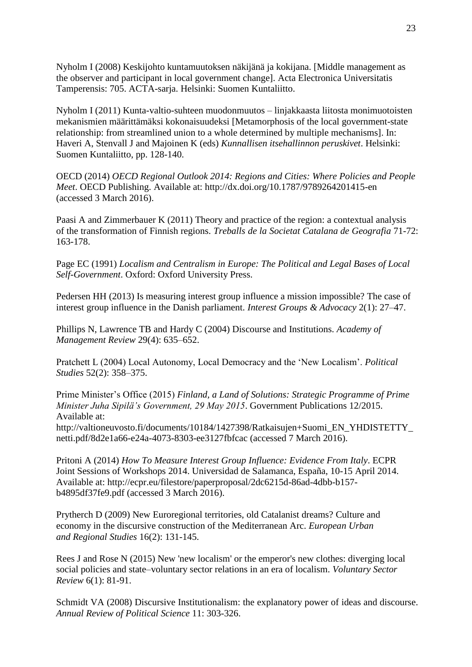Nyholm I (2008) Keskijohto kuntamuutoksen näkijänä ja kokijana. [Middle management as the observer and participant in local government change]. Acta Electronica Universitatis Tamperensis: 705. ACTA-sarja. Helsinki: Suomen Kuntaliitto.

Nyholm I (2011) Kunta-valtio-suhteen muodonmuutos – linjakkaasta liitosta monimuotoisten mekanismien määrittämäksi kokonaisuudeksi [Metamorphosis of the local government-state relationship: from streamlined union to a whole determined by multiple mechanisms]. In: Haveri A, Stenvall J and Majoinen K (eds) *Kunnallisen itsehallinnon peruskivet*. Helsinki: Suomen Kuntaliitto, pp. 128-140.

OECD (2014) *OECD Regional Outlook 2014: Regions and Cities: Where Policies and People Meet*. OECD Publishing. Available at: http://dx.doi.org/10.1787/9789264201415-en (accessed 3 March 2016).

Paasi A and Zimmerbauer K (2011) Theory and practice of the region: a contextual analysis of the transformation of Finnish regions. *Treballs de la Societat Catalana de Geografia* 71-72: 163-178.

Page EC (1991) *Localism and Centralism in Europe: The Political and Legal Bases of Local Self-Government*. Oxford: Oxford University Press.

Pedersen HH (2013) Is measuring interest group influence a mission impossible? The case of interest group influence in the Danish parliament. *Interest Groups & Advocacy* 2(1): 27–47.

Phillips N, Lawrence TB and Hardy C (2004) Discourse and Institutions. *Academy of Management Review* 29(4): 635–652.

Pratchett L (2004) Local Autonomy, Local Democracy and the 'New Localism'. *Political Studies* 52(2): 358–375.

Prime Minister's Office (2015) *Finland, a Land of Solutions: Strategic Programme of Prime Minister Juha Sipilä's Government, 29 May 2015*. Government Publications 12/2015. Available at:

http://valtioneuvosto.fi/documents/10184/1427398/Ratkaisujen+Suomi\_EN\_YHDISTETTY\_ netti.pdf/8d2e1a66-e24a-4073-8303-ee3127fbfcac (accessed 7 March 2016).

Pritoni A (2014) *How To Measure Interest Group Influence: Evidence From Italy*. ECPR Joint Sessions of Workshops 2014. Universidad de Salamanca, España, 10-15 April 2014. Available at: http://ecpr.eu/filestore/paperproposal/2dc6215d-86ad-4dbb-b157 b4895df37fe9.pdf (accessed 3 March 2016).

Prytherch D (2009) New Euroregional territories, old Catalanist dreams? Culture and economy in the discursive construction of the Mediterranean Arc. *European Urban and Regional Studies* 16(2): 131-145.

Rees J and Rose N (2015) New 'new localism' or the emperor's new clothes: diverging local social policies and state–voluntary sector relations in an era of localism. *Voluntary Sector Review* 6(1): 81-91.

Schmidt VA (2008) Discursive Institutionalism: the explanatory power of ideas and discourse. *Annual Review of Political Science* 11: 303-326.